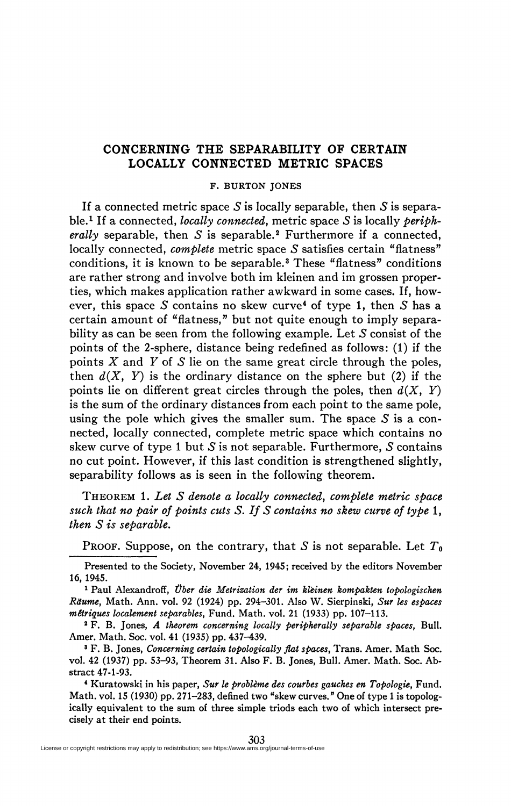## **CONCERNING THE SEPARABILITY OF CERTAIN LOCALLY CONNECTED METRIC SPACES**

## F. BURTON JONES

If a connected metric space *S* is locally separable, then *S* is separable.<sup>1</sup> If a connected, *locally connected,* metric space *S* is locally *periph*erally separable, then *S* is separable.<sup>2</sup> Furthermore if a connected, locally connected, *complete* metric space *S* satisfies certain "flatness" conditions, it is known to be separable.<sup>3</sup> These "flatness" conditions are rather strong and involve both im kleinen and im grossen properties, which makes application rather awkward in some cases. If, however, this space *S* contains no skew curve<sup>4</sup> of type 1, then *S* has a certain amount of "flatness," but not quite enough to imply separability as can be seen from the following example. Let *S* consist of the points of the 2-sphere, distance being redefined as follows: (1) if the points *X* and *Y* of 5 lie on the same great circle through the poles, then  $d(X, Y)$  is the ordinary distance on the sphere but (2) if the points lie on different great circles through the poles, then *d(X, Y)*  is the sum of the ordinary distances from each point to the same pole, using the pole which gives the smaller sum. The space  $S$  is a connected, locally connected, complete metric space which contains no skew curve of type 1 but 5 is not separable. Furthermore, *S* contains no cut point. However, if this last condition is strengthened slightly, separability follows as is seen in the following theorem.

THEOREM 1. *Let S denote a locally connected, complete metric space such that no pair of points cuts S. If S contains no skew curve of type* 1, *then S is separable.* 

PROOF. Suppose, on the contrary, that *S* is not separable. Let *T<sup>0</sup>*

Presented to the Society, November 24, 1945; received by the editors November 16, 1945.

1 Paul Alexandroff, *Über die Metrization der im kleinen hompakten topologischen Ràume,* Math. Ann. vol. 92 (1924) pp. 294-301. Also W. Sierpinski, *Sur les espaces métriques localement separables,* Fund. Math. vol. 21 (1933) pp. 107-113.

2 F. B. Jones, *A theorem concerning locally peripherally separable spaces,* Bull. Amer. Math. Soc. vol. 41 (1935) pp. 437-439.

3 F. B. Jones, *Concerning certain topologically flat spaces,* Trans. Amer. Math Soc. vol. 42 (1937) pp. 53-93, Theorem 31. Also F. B. Jones, Bull. Amer. Math. Soc. Abstract 47-1-93.

4 Kuratowski in his paper, *Sur le problème des courbes gauches en Topologie,* Fund. Math, vol. 15 (1930) pp. 271–283, defined two "skew curves," One of type 1 is topologically equivalent to the sum of three simple triods each two of which intersect precisely at their end points.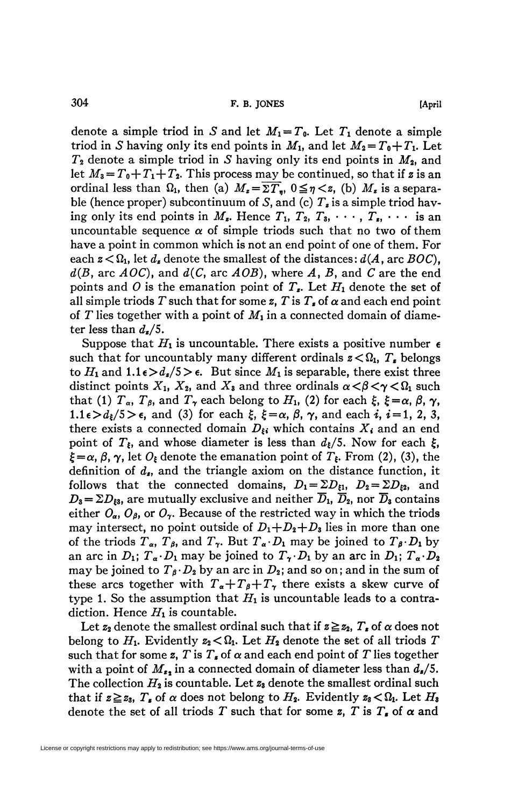denote a simple triod in S and let  $M_1 = T_0$ . Let  $T_1$  denote a simple triod in *S* having only its end points in  $M_1$ , and let  $M_2 = T_0 + T_1$ . Let  $T_2$  denote a simple triod in S having only its end points in  $M_2$ , and let  $M_3 = T_0 + T_1 + T_2$ . This process may be continued, so that if z is an ordinal less than  $\Omega_1$ , then (a)  $M_z = \Sigma T_y$ ,  $0 \le \eta \lt z$ , (b)  $M_z$  is a separable (hence proper) subcontinuum of *S,* and (c) *T<sup>z</sup>* is a simple triod having only its end points in  $M_{\epsilon}$ . Hence  $T_1$ ,  $T_2$ ,  $T_3$ ,  $\cdots$ ,  $T_{\epsilon}$ ,  $\cdots$  is an uncountable sequence  $\alpha$  of simple triods such that no two of them have a point in common which is not an end point of one of them. For each  $z < \Omega_1$ , let  $d_z$  denote the smallest of the distances:  $d(A, \text{arc } BOC)$ , *d(B<sup>t</sup>* arc *AOC),* and *d(C,* arc *AOB),* where *A, B<sup>t</sup>* and *C* are the end points and *0* is the emanation point of *Tx.* Let *Hi* denote the set of all simple triods T such that for some  $z$ , T is  $T$ , of  $\alpha$  and each end point of *T* lies together with a point of  $M_1$  in a connected domain of diameter less than  $d_{\boldsymbol{z}}/5$ .

Suppose that  $H_1$  is uncountable. There exists a positive number  $\epsilon$ such that for uncountably many different ordinals  $z < \Omega_1$ ,  $T_s$  belongs to  $H_1$  and  $1.1 \epsilon > d_z/5 > \epsilon$ . But since  $M_1$  is separable, there exist three distinct points  $X_1$ ,  $X_2$ , and  $X_3$  and three ordinals  $\alpha < \beta < \gamma < \Omega_1$  such that (1)  $T_{\alpha}$ ,  $T_{\beta}$ , and  $T_{\gamma}$  each belong to  $H_{1}$ , (2) for each  $\xi$ ,  $\xi = \alpha$ ,  $\beta$ ,  $\gamma$ ,  $1.1\epsilon > d_{\xi}/5 > \epsilon$ , and (3) for each  $\xi$ ,  $\xi = \alpha$ ,  $\beta$ ,  $\gamma$ , and each  $i$ ,  $i = 1, 2, 3$ , there exists a connected domain  $D_{\xi i}$  which contains  $X_i$  and an end point of  $T_{\xi}$ , and whose diameter is less than  $d_{\xi}/5$ . Now for each  $\xi$ ,  $\xi = \alpha$ ,  $\beta$ ,  $\gamma$ , let  $O_{\xi}$  denote the emanation point of  $T_{\xi}$ . From (2), (3), the definition of *d<sup>t</sup> ,* and the triangle axiom on the distance function, it follows that the connected domains,  $D_1 = \sum D_{\xi 1}$ ,  $D_2 = \sum D_{\xi 2}$ , and  $D_3 = \Sigma D_{\xi 3}$ , are mutually exclusive and neither  $\overline{D}_1$ ,  $\overline{D}_2$ , nor  $\overline{D}_3$  contains either  $O_{\alpha}$ ,  $O_{\beta}$ , or  $O_{\gamma}$ . Because of the restricted way in which the triods may intersect, no point outside of  $D_1 + D_2 + D_3$  lies in more than one of the triods  $T_{\alpha}$ ,  $T_{\beta}$ , and  $T_{\gamma}$ . But  $T_{\alpha} \cdot D_1$  may be joined to  $T_{\beta} \cdot D_1$  by an arc in  $D_1$ ;  $T_a \cdot D_1$  may be joined to  $T_\gamma \cdot D_1$  by an arc in  $D_1$ ;  $T_a \cdot D_2$ may be joined to  $T_{\beta} \cdot D_2$  by an arc in  $D_2$ ; and so on; and in the sum of these arcs together with  $T_a+T_f+T_\gamma$  there exists a skew curve of type 1. So the assumption that  $H_1$  is uncountable leads to a contradiction. Hence  $H_1$  is countable.

Let  $z_2$  denote the smallest ordinal such that if  $z \geq z_2$ ,  $T_s$  of  $\alpha$  does not belong to  $H_1$ . Evidently  $z_2 < \Omega_1$ . Let  $H_2$  denote the set of all triods T such that for some z, T is  $T_s$  of  $\alpha$  and each end point of T lies together with a point of  $M_{\epsilon_2}$  in a connected domain of diameter less than  $d_{\epsilon}/5$ . The collection  $H_2$  is countable. Let  $z_3$  denote the smallest ordinal such that if  $z \geq z_3$ ,  $T_z$  of  $\alpha$  does not belong to  $H_2$ . Evidently  $z_3 < \Omega_1$ . Let  $H_3$ denote the set of all triods T such that for some z, T is  $T<sub>s</sub>$  of  $\alpha$  and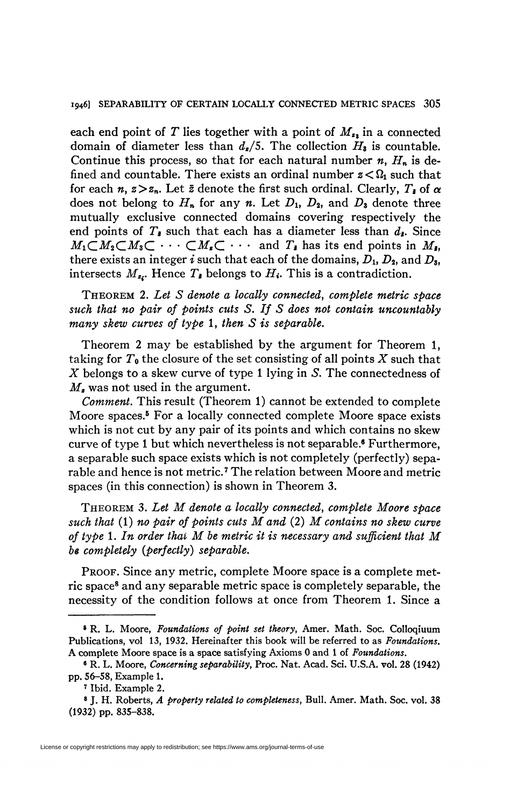## 1946] SEPARABILITY OF CERTAIN LOCALLY CONNECTED METRIC SPACES 305

each end point of T lies together with a point of  $M_{\nu}$  in a connected domain of diameter less than *d<sup>t</sup> /5.* The collection *Hz* is countable. Continue this process, so that for each natural number *n, Hn* is defined and countable. There exists an ordinal number  $z < \Omega_1$  such that for each  $n, z > z_n$ . Let  $\bar{z}$  denote the first such ordinal. Clearly,  $T_{\bar{z}}$  of  $\alpha$ does not belong to *Hn* for any *n.* Let *D\, D2,* and *D<sup>z</sup>* denote three mutually exclusive connected domains covering respectively the end points of  $T_{\ast}$  such that each has a diameter less than  $d_{\ast}$ . Since  $M_1 \subset M_2 \subset M_3 \subset \cdots \subset M_r \subset \cdots$  and  $T_i$  has its end points in  $M_i$ , there exists an integer  $i$  such that each of the domains,  $D_1$ ,  $D_2$ , and  $D_3$ , intersects  $M_{z_i}$ . Hence  $T_{\bar{z}}$  belongs to  $H_i$ . This is a contradiction.

THEOREM 2. *Let S denote a locally connected*, *complete metric space such that no pair of points cuts S. If S does not contain uncountably many skew curves of type* 1, *then S is separable.* 

Theorem 2 may be established by the argument for Theorem 1, taking for *To* the closure of the set consisting of all points *X* such that *X* belongs to a skew curve of type 1 lying in *S.* The connectedness of *M<sup>z</sup>* was not used in the argument.

*Comment.* This result (Theorem 1) cannot be extended to complete Moore spaces.<sup>5</sup> For a locally connected complete Moore space exists which is not cut by any pair of its points and which contains no skew curve of type 1 but which nevertheless is not separable.<sup>6</sup> Furthermore, a separable such space exists which is not completely (perfectly) separable and hence is not metric.<sup>7</sup> The relation between Moore and metric spaces (in this connection) is shown in Theorem 3.

THEOREM 3. *Let M denote a locally connected, complete Moore space such that* (1) *no pair of points cuts M and* (2) *M contains no skew curve of type* 1. *In order thai M be metric it is necessary and sufficient that M be completely (perfectly) separable.* 

PROOF. Since any metric, complete Moore space is a complete metric space<sup>8</sup> and any separable metric space is completely separable, the necessity of the condition follows at once from Theorem 1. Since a

<sup>8</sup> R. L. Moore, *Foundations of point set theory,* Amer. Math. Soc. Colloqiuum Publications, vol 13, 1932. Hereinafter this book will be referred to as *Foundations.*  A complete Moore space is a space satisfying Axioms 0 and 1 of *Foundations.* 

<sup>6</sup> R. L. Moore, *Concerning separability,* Proc. Nat. Acad. Sci. U.S.A. vol. 28 (1942) pp. 56-58, Example 1.

<sup>7</sup> Ibid. Example 2.

<sup>8</sup> J. H. Roberts, *A property related to completeness,* Bull. Amer. Math. Soc. vol. 38 (1932) pp. 835-838.